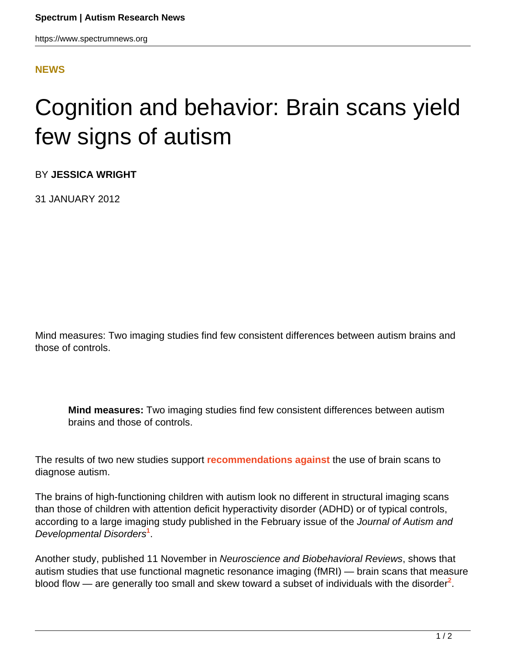## **[NEWS](HTTPS://WWW.SPECTRUMNEWS.ORG/NEWS/)**

## Cognition and behavior: Brain scans yield few signs of autism

BY **JESSICA WRIGHT**

31 JANUARY 2012

Mind measures: Two imaging studies find few consistent differences between autism brains and those of controls.

**Mind measures:** Two imaging studies find few consistent differences between autism brains and those of controls.

The results of two new studies support **[recommendations against](https://www.spectrumnews.org/news/2011/diagnostic-brain-scans-hope-or-hype)** the use of brain scans to diagnose autism.

The brains of high-functioning children with autism look no different in structural imaging scans than those of children with attention deficit hyperactivity disorder (ADHD) or of typical controls, according to a large imaging study published in the February issue of the Journal of Autism and Developmental Disorders**<sup>1</sup>** .

Another study, published 11 November in Neuroscience and Biobehavioral Reviews, shows that autism studies that use functional magnetic resonance imaging (fMRI) — brain scans that measure blood flow — are generally too small and skew toward a subset of individuals with the disorder<sup>2</sup>.